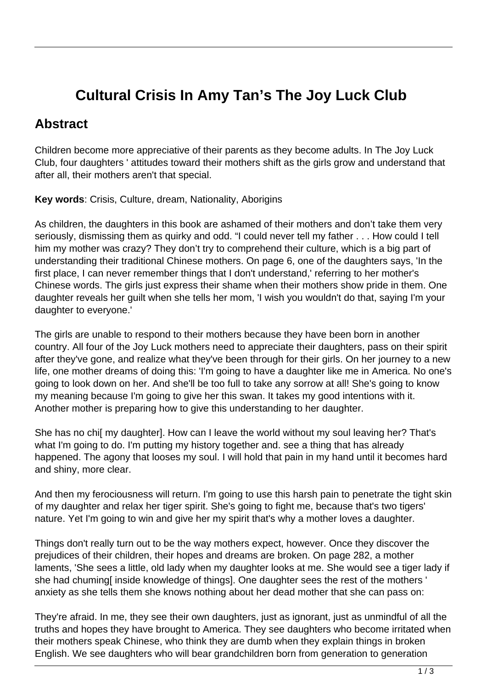## **Cultural Crisis In Amy Tan's The Joy Luck Club**

## **Abstract**

Children become more appreciative of their parents as they become adults. In The Joy Luck Club, four daughters ' attitudes toward their mothers shift as the girls grow and understand that after all, their mothers aren't that special.

**Key words**: Crisis, Culture, dream, Nationality, Aborigins

As children, the daughters in this book are ashamed of their mothers and don't take them very seriously, dismissing them as quirky and odd. "I could never tell my father . . . How could I tell him my mother was crazy? They don't try to comprehend their culture, which is a big part of understanding their traditional Chinese mothers. On page 6, one of the daughters says, 'In the first place, I can never remember things that I don't understand,' referring to her mother's Chinese words. The girls just express their shame when their mothers show pride in them. One daughter reveals her guilt when she tells her mom, 'I wish you wouldn't do that, saying I'm your daughter to everyone.'

The girls are unable to respond to their mothers because they have been born in another country. All four of the Joy Luck mothers need to appreciate their daughters, pass on their spirit after they've gone, and realize what they've been through for their girls. On her journey to a new life, one mother dreams of doing this: 'I'm going to have a daughter like me in America. No one's going to look down on her. And she'll be too full to take any sorrow at all! She's going to know my meaning because I'm going to give her this swan. It takes my good intentions with it. Another mother is preparing how to give this understanding to her daughter.

She has no chi[ my daughter]. How can I leave the world without my soul leaving her? That's what I'm going to do. I'm putting my history together and. see a thing that has already happened. The agony that looses my soul. I will hold that pain in my hand until it becomes hard and shiny, more clear.

And then my ferociousness will return. I'm going to use this harsh pain to penetrate the tight skin of my daughter and relax her tiger spirit. She's going to fight me, because that's two tigers' nature. Yet I'm going to win and give her my spirit that's why a mother loves a daughter.

Things don't really turn out to be the way mothers expect, however. Once they discover the prejudices of their children, their hopes and dreams are broken. On page 282, a mother laments, 'She sees a little, old lady when my daughter looks at me. She would see a tiger lady if she had chuming[ inside knowledge of things]. One daughter sees the rest of the mothers ' anxiety as she tells them she knows nothing about her dead mother that she can pass on:

They're afraid. In me, they see their own daughters, just as ignorant, just as unmindful of all the truths and hopes they have brought to America. They see daughters who become irritated when their mothers speak Chinese, who think they are dumb when they explain things in broken English. We see daughters who will bear grandchildren born from generation to generation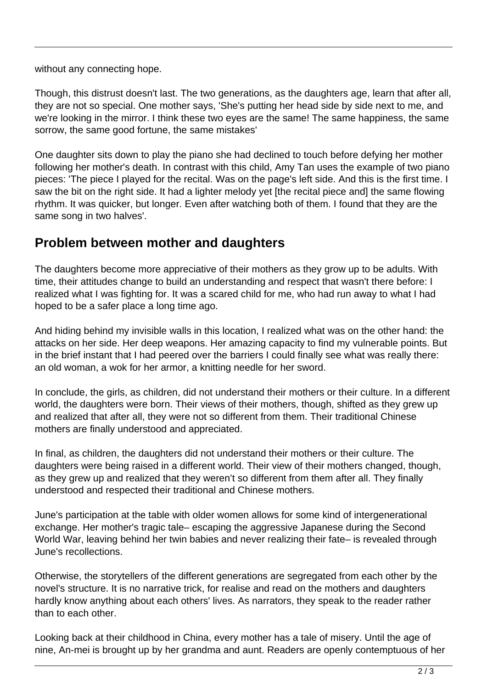without any connecting hope.

Though, this distrust doesn't last. The two generations, as the daughters age, learn that after all, they are not so special. One mother says, 'She's putting her head side by side next to me, and we're looking in the mirror. I think these two eyes are the same! The same happiness, the same sorrow, the same good fortune, the same mistakes'

One daughter sits down to play the piano she had declined to touch before defying her mother following her mother's death. In contrast with this child, Amy Tan uses the example of two piano pieces: 'The piece I played for the recital. Was on the page's left side. And this is the first time. I saw the bit on the right side. It had a lighter melody yet [the recital piece and] the same flowing rhythm. It was quicker, but longer. Even after watching both of them. I found that they are the same song in two halves'.

## **Problem between mother and daughters**

The daughters become more appreciative of their mothers as they grow up to be adults. With time, their attitudes change to build an understanding and respect that wasn't there before: I realized what I was fighting for. It was a scared child for me, who had run away to what I had hoped to be a safer place a long time ago.

And hiding behind my invisible walls in this location, I realized what was on the other hand: the attacks on her side. Her deep weapons. Her amazing capacity to find my vulnerable points. But in the brief instant that I had peered over the barriers I could finally see what was really there: an old woman, a wok for her armor, a knitting needle for her sword.

In conclude, the girls, as children, did not understand their mothers or their culture. In a different world, the daughters were born. Their views of their mothers, though, shifted as they grew up and realized that after all, they were not so different from them. Their traditional Chinese mothers are finally understood and appreciated.

In final, as children, the daughters did not understand their mothers or their culture. The daughters were being raised in a different world. Their view of their mothers changed, though, as they grew up and realized that they weren't so different from them after all. They finally understood and respected their traditional and Chinese mothers.

June's participation at the table with older women allows for some kind of intergenerational exchange. Her mother's tragic tale– escaping the aggressive Japanese during the Second World War, leaving behind her twin babies and never realizing their fate– is revealed through June's recollections.

Otherwise, the storytellers of the different generations are segregated from each other by the novel's structure. It is no narrative trick, for realise and read on the mothers and daughters hardly know anything about each others' lives. As narrators, they speak to the reader rather than to each other.

Looking back at their childhood in China, every mother has a tale of misery. Until the age of nine, An-mei is brought up by her grandma and aunt. Readers are openly contemptuous of her